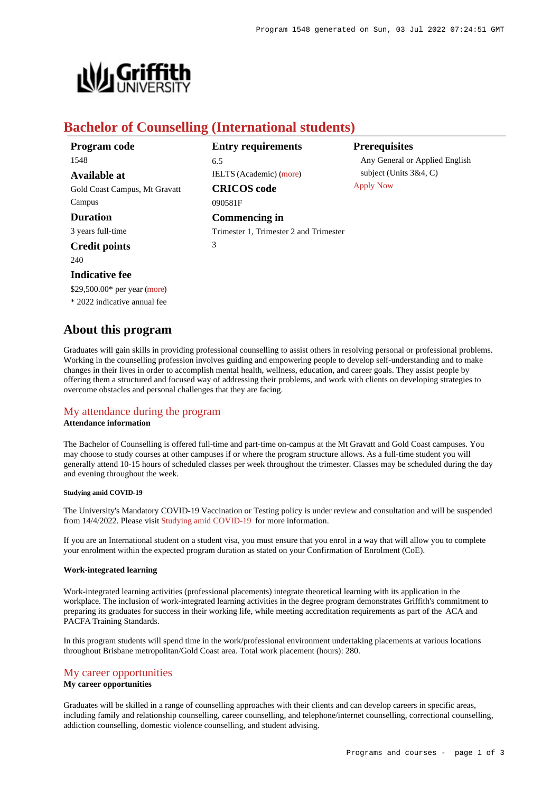

# **Bachelor of Counselling (International students)**

| Program code                  | <b>Entry requirements</b>              | <b>Prerequisites</b>           |
|-------------------------------|----------------------------------------|--------------------------------|
| 1548                          | 6.5                                    | Any General or Applied English |
| <b>Available at</b>           | <b>IELTS</b> (Academic) (more)         | subject (Units $3&4, C$ )      |
| Gold Coast Campus, Mt Gravatt | <b>CRICOS</b> code                     | <b>Apply Now</b>               |
| Campus                        | 090581F                                |                                |
| <b>Duration</b>               | Commencing in                          |                                |
| 3 years full-time             | Trimester 1, Trimester 2 and Trimester |                                |
| <b>Credit points</b>          | 3                                      |                                |
| 240                           |                                        |                                |

**Indicative fee**

\$29,500.00\* per year [\(more](https://www148.griffith.edu.au/programs-courses/Program/1548/Overview/International#fees))

\* 2022 indicative annual fee

## **About this program**

Graduates will gain skills in providing professional counselling to assist others in resolving personal or professional problems. Working in the counselling profession involves guiding and empowering people to develop self-understanding and to make changes in their lives in order to accomplish mental health, wellness, education, and career goals. They assist people by offering them a structured and focused way of addressing their problems, and work with clients on developing strategies to overcome obstacles and personal challenges that they are facing.

## [My attendance during the program](https://www148.griffith.edu.au/programs-courses/Program/1548/Overview/International#attendance)

## **Attendance information**

The Bachelor of Counselling is offered full-time and part-time on-campus at the Mt Gravatt and Gold Coast campuses. You may choose to study courses at other campuses if or where the program structure allows. As a full-time student you will generally attend 10-15 hours of scheduled classes per week throughout the trimester. Classes may be scheduled during the day and evening throughout the week.

#### **Studying amid COVID-19**

The University's Mandatory COVID-19 Vaccination or Testing policy is under review and consultation and will be suspended from 14/4/2022. Please visit [Studying amid COVID-19](https://www.griffith.edu.au/coronavirus/studying-amid-covid-19) for more information.

If you are an International student on a student visa, you must ensure that you enrol in a way that will allow you to complete your enrolment within the expected program duration as stated on your Confirmation of Enrolment (CoE).

#### **Work-integrated learning**

Work-integrated learning activities (professional placements) integrate theoretical learning with its application in the workplace. The inclusion of work-integrated learning activities in the degree program demonstrates Griffith's commitment to preparing its graduates for success in their working life, while meeting accreditation requirements as part of the ACA and PACFA Training Standards.

In this program students will spend time in the work/professional environment undertaking placements at various locations throughout Brisbane metropolitan/Gold Coast area. Total work placement (hours): 280.

## [My career opportunities](https://www148.griffith.edu.au/programs-courses/Program/1548/Overview/International#opportunities)

## **My career opportunities**

Graduates will be skilled in a range of counselling approaches with their clients and can develop careers in specific areas, including family and relationship counselling, career counselling, and telephone/internet counselling, correctional counselling, addiction counselling, domestic violence counselling, and student advising.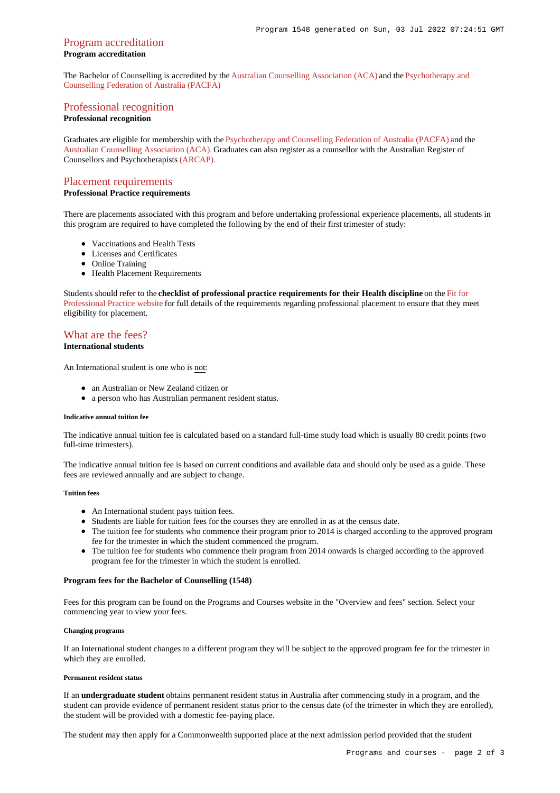## [Program accreditation](https://www148.griffith.edu.au/programs-courses/Program/1548/Overview/International#accreditation) **Program accreditation**

The Bachelor of Counselling is accredited by the [Australian Counselling Association \(ACA\)](http://www.theaca.net.au/) and the [Psychotherapy and](http://www.pacfa.org.au/) [Counselling Federation of Australia \(PACFA\)](http://www.pacfa.org.au/)

## [Professional recognition](https://www148.griffith.edu.au/programs-courses/Program/1548/Overview/International#recognition)

## **Professional recognition**

Graduates are eligible for membership with the [Psychotherapy and Counselling Federation of Australia \(PACFA\)](http://www.pacfa.org.au/) and the [Australian Counselling Association \(ACA\).](https://www.theaca.net.au/) Graduates can also register as a counsellor with the Australian Register of Counsellors and Psychotherapists [\(ARCAP\).](https://www.arcapregister.com.au/)

## [Placement requirements](https://www148.griffith.edu.au/programs-courses/Program/1548/Overview/International#placement)

### **Professional Practice requirements**

There are placements associated with this program and before undertaking professional experience placements, all students in this program are required to have completed the following by the end of their first trimester of study:

- Vaccinations and Health Tests
- Licenses and Certificates
- Online Training
- Health Placement Requirements

Students should refer to the **checklist of professional practice requirements for their Health discipline** on the [Fit for](https://www.griffith.edu.au/griffith-health/fit-for-professional-practice) [Professional Practice website](https://www.griffith.edu.au/griffith-health/fit-for-professional-practice) for full details of the requirements regarding professional placement to ensure that they meet eligibility for placement.

## [What are the fees?](https://www148.griffith.edu.au/programs-courses/Program/1548/Overview/International#fees)

**International students**

An International student is one who is not:

- an Australian or New Zealand citizen or
- a person who has Australian permanent resident status.

#### **Indicative annual tuition fee**

The indicative annual tuition fee is calculated based on a standard full-time study load which is usually 80 credit points (two full-time trimesters).

The indicative annual tuition fee is based on current conditions and available data and should only be used as a guide. These fees are reviewed annually and are subject to change.

#### **Tuition fees**

- An International student pays tuition fees.
- Students are liable for tuition fees for the courses they are enrolled in as at the census date.
- The tuition fee for students who commence their program prior to 2014 is charged according to the approved program fee for the trimester in which the student commenced the program.
- The tuition fee for students who commence their program from 2014 onwards is charged according to the approved program fee for the trimester in which the student is enrolled.

#### **Program fees for the Bachelor of Counselling (1548)**

Fees for this program can be found on the Programs and Courses website in the "Overview and fees" section. Select your commencing year to view your fees.

#### **Changing programs**

If an International student changes to a different program they will be subject to the approved program fee for the trimester in which they are enrolled.

#### **Permanent resident status**

If an **undergraduate student** obtains permanent resident status in Australia after commencing study in a program, and the student can provide evidence of permanent resident status prior to the census date (of the trimester in which they are enrolled), the student will be provided with a domestic fee-paying place.

The student may then apply for a Commonwealth supported place at the next admission period provided that the student